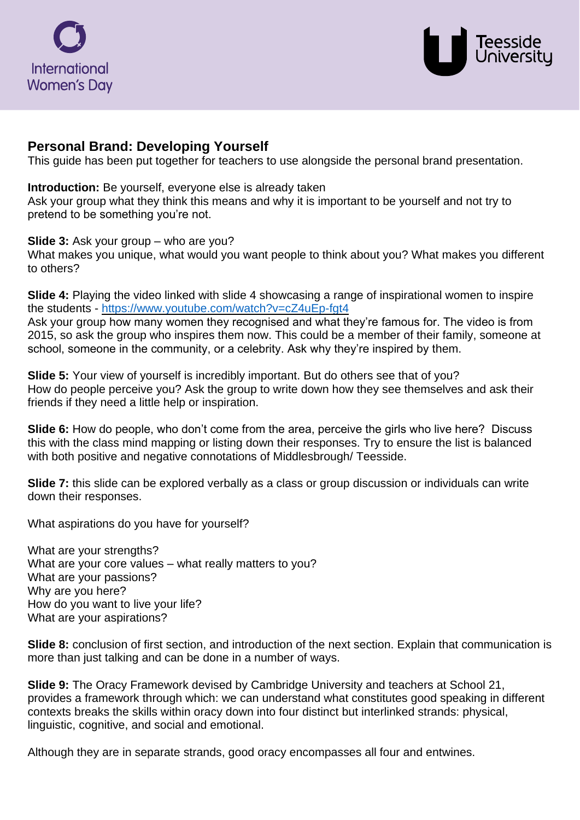



# **Personal Brand: Developing Yourself**

This guide has been put together for teachers to use alongside the personal brand presentation.

### **Introduction:** Be yourself, everyone else is already taken

Ask your group what they think this means and why it is important to be yourself and not try to pretend to be something you're not.

### **Slide 3:** Ask your group – who are you?

What makes you unique, what would you want people to think about you? What makes you different to others?

**Slide 4:** Playing the video linked with slide 4 showcasing a range of inspirational women to inspire the students - <https://www.youtube.com/watch?v=cZ4uEp-fgt4> Ask your group how many women they recognised and what they're famous for. The video is from

2015, so ask the group who inspires them now. This could be a member of their family, someone at school, someone in the community, or a celebrity. Ask why they're inspired by them.

**Slide 5:** Your view of yourself is incredibly important. But do others see that of you? How do people perceive you? Ask the group to write down how they see themselves and ask their friends if they need a little help or inspiration.

**Slide 6:** How do people, who don't come from the area, perceive the girls who live here? Discuss this with the class mind mapping or listing down their responses. Try to ensure the list is balanced with both positive and negative connotations of Middlesbrough/ Teesside.

**Slide 7:** this slide can be explored verbally as a class or group discussion or individuals can write down their responses.

What aspirations do you have for yourself?

What are your strengths? What are your core values – what really matters to you? What are your passions? Why are you here? How do you want to live your life? What are your aspirations?

**Slide 8:** conclusion of first section, and introduction of the next section. Explain that communication is more than just talking and can be done in a number of ways.

**Slide 9:** The Oracy Framework devised by Cambridge University and teachers at School 21, provides a framework through which: we can understand what constitutes good speaking in different contexts breaks the skills within oracy down into four distinct but interlinked strands: physical, linguistic, cognitive, and social and emotional.

Although they are in separate strands, good oracy encompasses all four and entwines.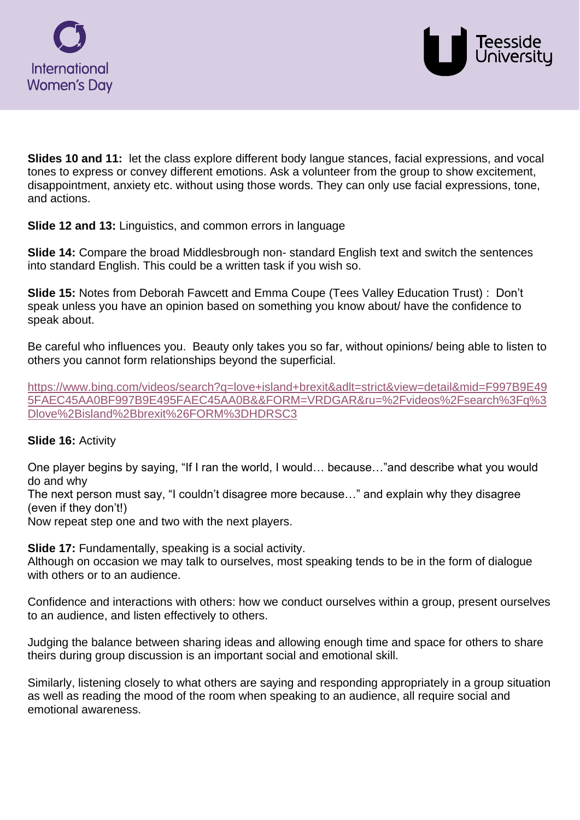



**Slides 10 and 11:** let the class explore different body langue stances, facial expressions, and vocal tones to express or convey different emotions. Ask a volunteer from the group to show excitement, disappointment, anxiety etc. without using those words. They can only use facial expressions, tone, and actions.

**Slide 12 and 13:** Linguistics, and common errors in language

**Slide 14:** Compare the broad Middlesbrough non-standard English text and switch the sentences into standard English. This could be a written task if you wish so.

**Slide 15:** Notes from Deborah Fawcett and Emma Coupe (Tees Valley Education Trust) :Don't speak unless you have an opinion based on something you know about/ have the confidence to speak about.

Be careful who influences you. Beauty only takes you so far, without opinions/ being able to listen to others you cannot form relationships beyond the superficial.

[https://www.bing.com/videos/search?q=love+island+brexit&adlt=strict&view=detail&mid=F997B9E49](https://www.bing.com/videos/search?q=love+island+brexit&adlt=strict&view=detail&mid=F997B9E495FAEC45AA0BF997B9E495FAEC45AA0B&&FORM=VRDGAR&ru=%2Fvideos%2Fsearch%3Fq%3Dlove%2Bisland%2Bbrexit%26FORM%3DHDRSC3) [5FAEC45AA0BF997B9E495FAEC45AA0B&&FORM=VRDGAR&ru=%2Fvideos%2Fsearch%3Fq%3](https://www.bing.com/videos/search?q=love+island+brexit&adlt=strict&view=detail&mid=F997B9E495FAEC45AA0BF997B9E495FAEC45AA0B&&FORM=VRDGAR&ru=%2Fvideos%2Fsearch%3Fq%3Dlove%2Bisland%2Bbrexit%26FORM%3DHDRSC3) [Dlove%2Bisland%2Bbrexit%26FORM%3DHDRSC3](https://www.bing.com/videos/search?q=love+island+brexit&adlt=strict&view=detail&mid=F997B9E495FAEC45AA0BF997B9E495FAEC45AA0B&&FORM=VRDGAR&ru=%2Fvideos%2Fsearch%3Fq%3Dlove%2Bisland%2Bbrexit%26FORM%3DHDRSC3)

## **Slide 16:** Activity

One player begins by saying, "If I ran the world, I would… because…"and describe what you would do and why

The next person must say, "I couldn't disagree more because…" and explain why they disagree (even if they don't!)

Now repeat step one and two with the next players.

**Slide 17:** Fundamentally, speaking is a social activity.

Although on occasion we may talk to ourselves, most speaking tends to be in the form of dialogue with others or to an audience.

Confidence and interactions with others: how we conduct ourselves within a group, present ourselves to an audience, and listen effectively to others.

Judging the balance between sharing ideas and allowing enough time and space for others to share theirs during group discussion is an important social and emotional skill.

Similarly, listening closely to what others are saying and responding appropriately in a group situation as well as reading the mood of the room when speaking to an audience, all require social and emotional awareness.